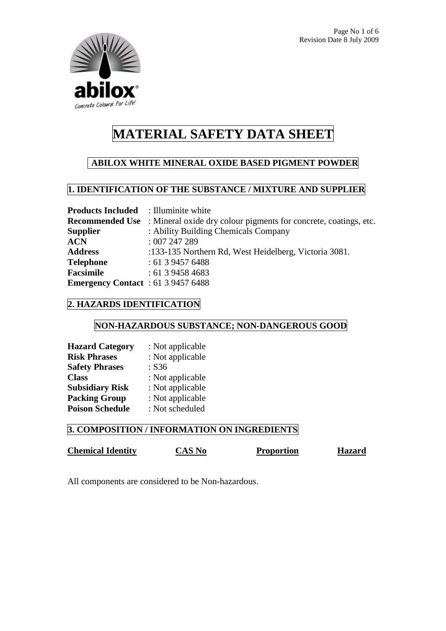

# **ABILOX WHITE MINERAL OXIDE BASED PIGMENT POWDER**

## **1. IDENTIFICATION OF THE SUBSTANCE / MIXTURE AND SUPPLIER**

| <b>Products Included</b> : Illuminite white |                                                                                         |
|---------------------------------------------|-----------------------------------------------------------------------------------------|
|                                             | <b>Recommended Use</b> : Mineral oxide dry colour pigments for concrete, coatings, etc. |
| <b>Supplier</b>                             | : Ability Building Chemicals Company                                                    |
| <b>ACN</b>                                  | :007247289                                                                              |
| <b>Address</b>                              | :133-135 Northern Rd, West Heidelberg, Victoria 3081.                                   |
| Telephone                                   | : 61394576488                                                                           |
| Facsimile                                   | : 61394584683                                                                           |
| <b>Emergency Contact</b> : 61 3 9457 6488   |                                                                                         |

## **2. HAZARDS IDENTIFICATION**

## **NON-HAZARDOUS SUBSTANCE; NON-DANGEROUS GOOD**

| <b>Hazard Category</b> | : Not applicable |
|------------------------|------------------|
| <b>Risk Phrases</b>    | : Not applicable |
| <b>Safety Phrases</b>  | : S36            |
| <b>Class</b>           | : Not applicable |
| <b>Subsidiary Risk</b> | : Not applicable |
| <b>Packing Group</b>   | : Not applicable |
| <b>Poison Schedule</b> | : Not scheduled  |

## **3. COMPOSITION / INFORMATION ON INGREDIENTS**

# **Chemical Identity** CAS No Proportion Hazard

All components are considered to be Non-hazardous.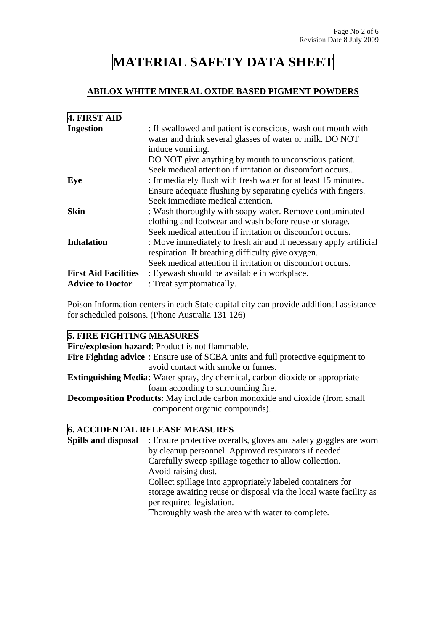## **ABILOX WHITE MINERAL OXIDE BASED PIGMENT POWDERS**

| 4. FIRST AID                |                                                                                                                                                                                                       |
|-----------------------------|-------------------------------------------------------------------------------------------------------------------------------------------------------------------------------------------------------|
| <b>Ingestion</b>            | : If swallowed and patient is conscious, wash out mouth with<br>water and drink several glasses of water or milk. DO NOT<br>induce vomiting.<br>DO NOT give anything by mouth to unconscious patient. |
|                             | Seek medical attention if irritation or discomfort occurs                                                                                                                                             |
| Eye                         | : Immediately flush with fresh water for at least 15 minutes.                                                                                                                                         |
|                             | Ensure adequate flushing by separating eyelids with fingers.                                                                                                                                          |
|                             | Seek immediate medical attention.                                                                                                                                                                     |
| <b>Skin</b>                 | : Wash thoroughly with soapy water. Remove contaminated                                                                                                                                               |
|                             | clothing and footwear and wash before reuse or storage.                                                                                                                                               |
|                             | Seek medical attention if irritation or discomfort occurs.                                                                                                                                            |
| <b>Inhalation</b>           | : Move immediately to fresh air and if necessary apply artificial                                                                                                                                     |
|                             | respiration. If breathing difficulty give oxygen.                                                                                                                                                     |
|                             | Seek medical attention if irritation or discomfort occurs.                                                                                                                                            |
| <b>First Aid Facilities</b> | : Eyewash should be available in workplace.                                                                                                                                                           |
| <b>Advice to Doctor</b>     | : Treat symptomatically.                                                                                                                                                                              |

Poison Information centers in each State capital city can provide additional assistance for scheduled poisons. (Phone Australia 131 126)

## **5. FIRE FIGHTING MEASURES**

**Fire/explosion hazard**: Product is not flammable. **Fire Fighting advice** : Ensure use of SCBA units and full protective equipment to avoid contact with smoke or fumes. **Extinguishing Media**: Water spray, dry chemical, carbon dioxide or appropriate foam according to surrounding fire. **Decomposition Products**: May include carbon monoxide and dioxide (from small component organic compounds).

#### **6. ACCIDENTAL RELEASE MEASURES**

**Spills and disposal** : Ensure protective overalls, gloves and safety goggles are worn by cleanup personnel. Approved respirators if needed. Carefully sweep spillage together to allow collection. Avoid raising dust. Collect spillage into appropriately labeled containers for storage awaiting reuse or disposal via the local waste facility as per required legislation. Thoroughly wash the area with water to complete.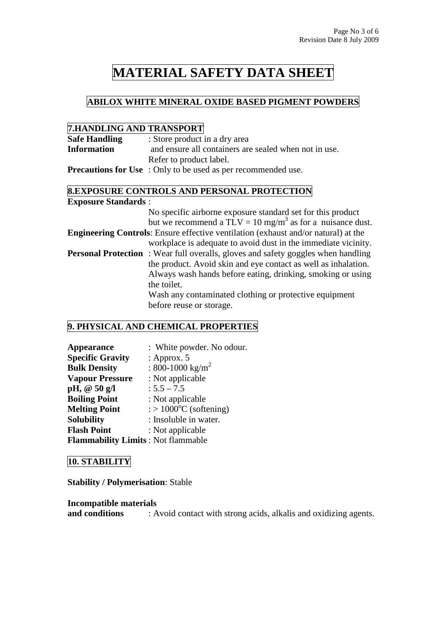## **ABILOX WHITE MINERAL OXIDE BASED PIGMENT POWDERS**

### **7.HANDLING AND TRANSPORT**

| <b>Safe Handling</b> | : Store product in a dry area                                                                                                                     |  |
|----------------------|---------------------------------------------------------------------------------------------------------------------------------------------------|--|
| <b>Information</b>   | and ensure all containers are sealed when not in use.                                                                                             |  |
|                      | Refer to product label.                                                                                                                           |  |
|                      | $\mathbf{D}_{\text{new}}$ , and $\mathbf{f}_{\text{new}}$ and $\mathbf{f}_{\text{new}}$ . On the following the second continuous that is a second |  |

**Precautions for Use** : Only to be used as per recommended use.

### **8.EXPOSURE CONTROLS AND PERSONAL PROTECTION Exposure Standards** :

| No specific airborne exposure standard set for this product                               |
|-------------------------------------------------------------------------------------------|
| but we recommend a TLV = 10 mg/m <sup>3</sup> as for a nuisance dust.                     |
| <b>Engineering Controls:</b> Ensure effective ventilation (exhaust and/or natural) at the |
| workplace is adequate to avoid dust in the immediate vicinity.                            |
| <b>Personal Protection</b> : Wear full overalls, gloves and safety goggles when handling  |
| the product. Avoid skin and eye contact as well as inhalation.                            |
| Always wash hands before eating, drinking, smoking or using                               |
| the toilet.                                                                               |
| Wash any contaminated clothing or protective equipment                                    |
| before reuse or storage.                                                                  |

# **9. PHYSICAL AND CHEMICAL PROPERTIES**

| <b>Appearance</b>                         | : White powder. No odour.                    |
|-------------------------------------------|----------------------------------------------|
| <b>Specific Gravity</b>                   | : Approx. $5$                                |
| <b>Bulk Density</b>                       | : 800-1000 kg/m <sup>2</sup>                 |
| <b>Vapour Pressure</b>                    | : Not applicable                             |
| pH, @ 50 g/l                              | $: 5.5 - 7.5$                                |
| <b>Boiling Point</b>                      | : Not applicable                             |
| <b>Melting Point</b>                      | $\therefore$ 1000 <sup>o</sup> C (softening) |
| <b>Solubility</b>                         | : Insoluble in water.                        |
| <b>Flash Point</b>                        | : Not applicable                             |
| <b>Flammability Limits: Not flammable</b> |                                              |

## **10. STABILITY**

**Stability / Polymerisation**: Stable

#### **Incompatible materials**

**and conditions** : Avoid contact with strong acids, alkalis and oxidizing agents.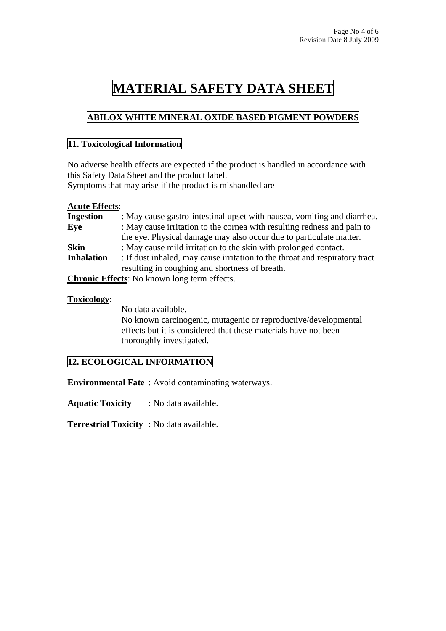# **ABILOX WHITE MINERAL OXIDE BASED PIGMENT POWDERS**

### **11. Toxicological Information**

No adverse health effects are expected if the product is handled in accordance with this Safety Data Sheet and the product label.

Symptoms that may arise if the product is mishandled are –

#### **Acute Effects**:

| <b>Ingestion</b>  | : May cause gastro-intestinal upset with nausea, vomiting and diarrhea.     |
|-------------------|-----------------------------------------------------------------------------|
| Eye               | : May cause irritation to the cornea with resulting redness and pain to     |
|                   | the eye. Physical damage may also occur due to particulate matter.          |
| <b>Skin</b>       | : May cause mild irritation to the skin with prolonged contact.             |
| <b>Inhalation</b> | : If dust inhaled, may cause irritation to the throat and respiratory tract |
|                   | resulting in coughing and shortness of breath.                              |
|                   | <b>Chronic Effects:</b> No known long term effects.                         |

#### **Toxicology**:

No data available.

No known carcinogenic, mutagenic or reproductive/developmental effects but it is considered that these materials have not been thoroughly investigated.

## **12. ECOLOGICAL INFORMATION**

**Environmental Fate** : Avoid contaminating waterways.

**Aquatic Toxicity** : No data available.

**Terrestrial Toxicity** : No data available.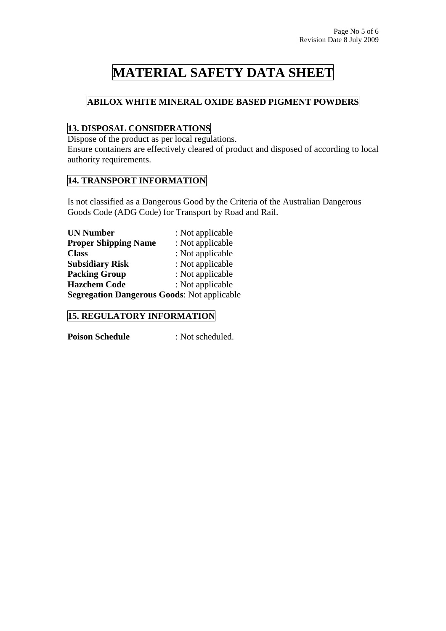# **ABILOX WHITE MINERAL OXIDE BASED PIGMENT POWDERS**

# **13. DISPOSAL CONSIDERATIONS**

Dispose of the product as per local regulations.

Ensure containers are effectively cleared of product and disposed of according to local authority requirements.

## **14. TRANSPORT INFORMATION**

Is not classified as a Dangerous Good by the Criteria of the Australian Dangerous Goods Code (ADG Code) for Transport by Road and Rail.

| <b>UN Number</b>                                   | : Not applicable |
|----------------------------------------------------|------------------|
| <b>Proper Shipping Name</b>                        | : Not applicable |
| <b>Class</b>                                       | : Not applicable |
| <b>Subsidiary Risk</b>                             | : Not applicable |
| <b>Packing Group</b>                               | : Not applicable |
| <b>Hazchem Code</b>                                | : Not applicable |
| <b>Segregation Dangerous Goods: Not applicable</b> |                  |

## **15. REGULATORY INFORMATION**

**Poison Schedule** : Not scheduled.